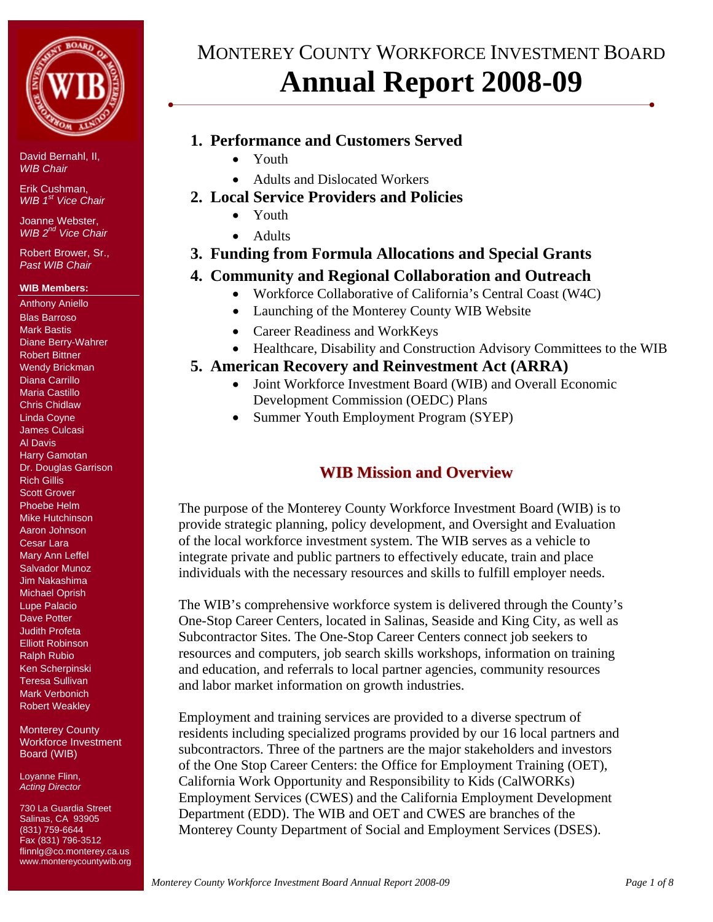

Erik Cushman, *WIB*  $1<sup>st</sup>$  *Vice Chair* 

Joanne Webster, *WIB 2nd Vice Chair* 

Robert Brower, Sr., *Past WIB Chair* 

## **WIB Members:**

Anthony Aniello Blas Barroso Mark Bastis Diane Berry-Wahrer Robert Bittner Wendy Brickman Diana Carrillo Maria Castillo Chris Chidlaw Linda Coyne James Culcasi Al Davis Harry Gamotan Dr. Douglas Garrison Rich Gillis Scott Grover Phoebe Helm Mike Hutchinson Aaron Johnson Cesar Lara Mary Ann Leffel Salvador Munoz Jim Nakashima Michael Oprish Lupe Palacio Dave Potter Judith Profeta Elliott Robinson Ralph Rubio Ken Scherpinski Teresa Sullivan Mark Verbonich Robert Weakley

Monterey County Workforce Investment Board (WIB)

Loyanne Flinn, *Acting Director* 

730 La Guardia Street Salinas, CA 93905 (831) 759-6644 Fax (831) 796-3512 flinnlg@co.monterey.ca.us www.montereycountywib.org

# MONTEREY COUNTY WORKFORCE INVESTMENT BOARD **Annual Report 2008-09**

# **1. Performance and Customers Served**

- Youth
- Adults and Dislocated Workers
- **2. Local Service Providers and Policies** 
	- Youth
	- Adults

# **3. Funding from Formula Allocations and Special Grants**

# **4. Community and Regional Collaboration and Outreach**

- Workforce Collaborative of California's Central Coast (W4C)
- Launching of the Monterey County WIB Website
- Career Readiness and WorkKeys
- Healthcare, Disability and Construction Advisory Committees to the WIB
- **5. American Recovery and Reinvestment Act (ARRA)** 
	- Joint Workforce Investment Board (WIB) and Overall Economic Development Commission (OEDC) Plans
	- Summer Youth Employment Program (SYEP)

# **WIB Mission and Overview**

The purpose of the Monterey County Workforce Investment Board (WIB) is to provide strategic planning, policy development, and Oversight and Evaluation of the local workforce investment system. The WIB serves as a vehicle to integrate private and public partners to effectively educate, train and place individuals with the necessary resources and skills to fulfill employer needs.

The WIB's comprehensive workforce system is delivered through the County's One-Stop Career Centers, located in Salinas, Seaside and King City, as well as Subcontractor Sites. The One-Stop Career Centers connect job seekers to resources and computers, job search skills workshops, information on training and education, and referrals to local partner agencies, community resources and labor market information on growth industries.

Employment and training services are provided to a diverse spectrum of residents including specialized programs provided by our 16 local partners and subcontractors. Three of the partners are the major stakeholders and investors of the One Stop Career Centers: the Office for Employment Training (OET), California Work Opportunity and Responsibility to Kids (CalWORKs) Employment Services (CWES) and the California Employment Development Department (EDD). The WIB and OET and CWES are branches of the Monterey County Department of Social and Employment Services (DSES).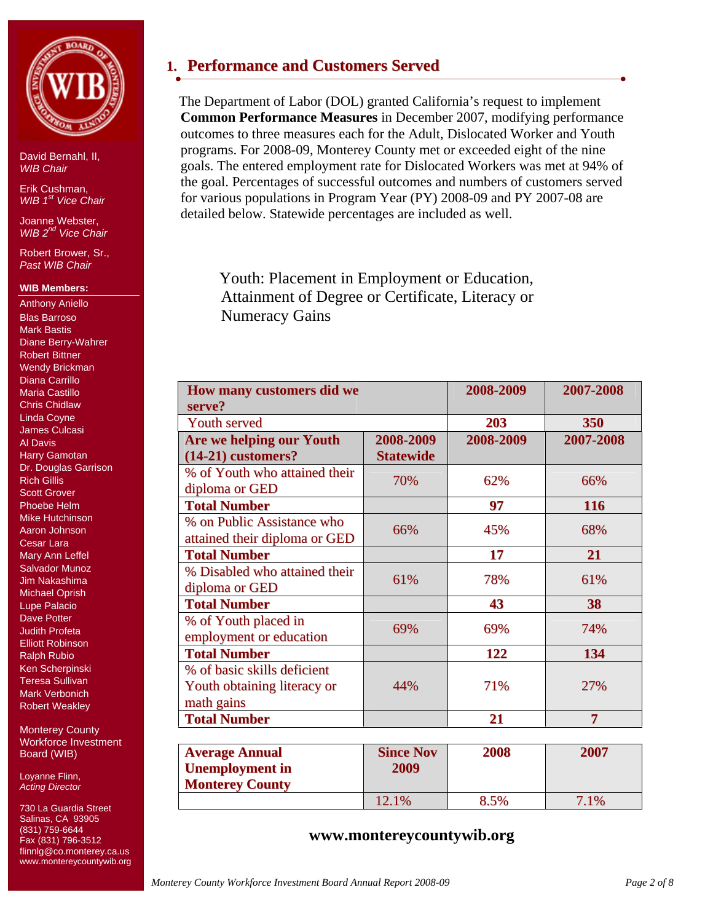

Erik Cushman, *WIB*  $1<sup>st</sup>$  *Vice Chair* 

Joanne Webster, *WIB 2nd Vice Chair* 

Robert Brower, Sr., *Past WIB Chair* 

## **WIB Members:**

Anthony Aniello Blas Barroso Mark Bastis Diane Berry-Wahrer Robert Bittner Wendy Brickman Diana Carrillo Maria Castillo Chris Chidlaw Linda Coyne James Culcasi Al Davis Harry Gamotan Dr. Douglas Garrison Rich Gillis Scott Grover Phoebe Helm Mike Hutchinson Aaron Johnson Cesar Lara Mary Ann Leffel Salvador Munoz Jim Nakashima Michael Oprish Lupe Palacio Dave Potter Judith Profeta Elliott Robinson Ralph Rubio Ken Scherpinski Teresa Sullivan Mark Verbonich Robert Weakley

Monterey County Workforce Investment Board (WIB)

Loyanne Flinn, *Acting Director* 

730 La Guardia Street Salinas, CA 93905 (831) 759-6644 Fax (831) 796-3512 flinnlg@co.monterey.ca.us www.montereycountywib.org

# **1. Performance and Customers Served**

The Department of Labor (DOL) granted California's request to implement **Common Performance Measures** in December 2007, modifying performance outcomes to three measures each for the Adult, Dislocated Worker and Youth programs. For 2008-09, Monterey County met or exceeded eight of the nine goals. The entered employment rate for Dislocated Workers was met at 94% of the goal. Percentages of successful outcomes and numbers of customers served for various populations in Program Year (PY) 2008-09 and PY 2007-08 are detailed below. Statewide percentages are included as well.

Youth: Placement in Employment or Education, Attainment of Degree or Certificate, Literacy or Numeracy Gains

| How many customers did we<br>serve?                                      |                               | 2008-2009 | 2007-2008      |
|--------------------------------------------------------------------------|-------------------------------|-----------|----------------|
| <b>Youth served</b>                                                      |                               | 203       | 350            |
| Are we helping our Youth<br>$(14-21)$ customers?                         | 2008-2009<br><b>Statewide</b> | 2008-2009 | 2007-2008      |
| % of Youth who attained their<br>diploma or GED                          | 70%                           | 62%       | 66%            |
| <b>Total Number</b>                                                      |                               | 97        | 116            |
| % on Public Assistance who<br>attained their diploma or GED              | 66%                           | 45%       | 68%            |
| <b>Total Number</b>                                                      |                               | 17        | 21             |
| % Disabled who attained their<br>diploma or GED                          | 61%                           | 78%       | 61%            |
| <b>Total Number</b>                                                      |                               | 43        | 38             |
| % of Youth placed in<br>employment or education                          | 69%                           | 69%       | 74%            |
| <b>Total Number</b>                                                      |                               | 122       | 134            |
| % of basic skills deficient<br>Youth obtaining literacy or<br>math gains | 44%                           | 71%       | 27%            |
| <b>Total Number</b>                                                      |                               | 21        | $\overline{7}$ |
|                                                                          |                               |           |                |
| <b>Average Annual</b>                                                    | <b>Since Nov</b>              | 2008      | 2007           |
| <b>Unemployment</b> in                                                   | 2009                          |           |                |
| <b>Monterey County</b>                                                   |                               |           |                |
|                                                                          | 12.1%                         | 8.5%      | 7.1%           |

## **www.montereycountywib.org**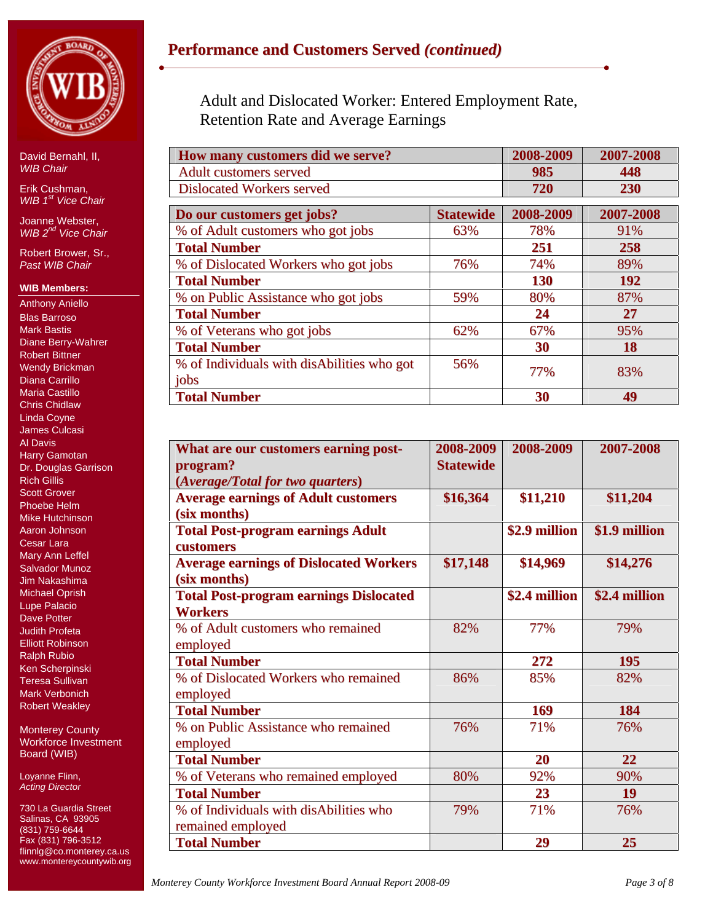

Erik Cushman, *WIB*  $1<sup>st</sup>$  *Vice Chair* 

Joanne Webster, *WIB 2nd Vice Chair* 

Robert Brower, Sr., *Past WIB Chair* 

## **WIB Members:**

Anthony Aniello Blas Barroso Mark Bastis Diane Berry-Wahrer Robert Bittner Wendy Brickman Diana Carrillo Maria Castillo Chris Chidlaw Linda Coyne James Culcasi Al Davis Harry Gamotan Dr. Douglas Garrison Rich Gillis Scott Grover Phoebe Helm Mike Hutchinson Aaron Johnson Cesar Lara Mary Ann Leffel Salvador Munoz Jim Nakashima Michael Oprish Lupe Palacio Dave Potter Judith Profeta Elliott Robinson Ralph Rubio Ken Scherpinski Teresa Sullivan Mark Verbonich Robert Weakley

Monterey County Workforce Investment Board (WIB)

Loyanne Flinn, *Acting Director* 

730 La Guardia Street Salinas, CA 93905 (831) 759-6644 Fax (831) 796-3512 flinnlg@co.monterey.ca.us www.montereycountywib.org Adult and Dislocated Worker: Entered Employment Rate, Retention Rate and Average Earnings

| How many customers did we serve?                   |                  | 2008-2009  | 2007-2008 |
|----------------------------------------------------|------------------|------------|-----------|
| <b>Adult customers served</b>                      |                  | 985        | 448       |
| <b>Dislocated Workers served</b>                   |                  | 720        | 230       |
| Do our customers get jobs?                         | <b>Statewide</b> | 2008-2009  | 2007-2008 |
| % of Adult customers who got jobs                  | 63%              | 78%        | 91%       |
| <b>Total Number</b>                                |                  | 251        | 258       |
| % of Dislocated Workers who got jobs               | 76%              | 74%        | 89%       |
| <b>Total Number</b>                                |                  | <b>130</b> | 192       |
| % on Public Assistance who got jobs                | 59%              | 80%        | 87%       |
| <b>Total Number</b>                                |                  | 24         | 27        |
| % of Veterans who got jobs                         | 62%              | 67%        | 95%       |
| <b>Total Number</b>                                |                  | 30         | 18        |
| % of Individuals with disAbilities who got<br>jobs | 56%              | 77%        | 83%       |
| <b>Total Number</b>                                |                  | 30         | 49        |

| What are our customers earning post-          | 2008-2009        | 2008-2009     | 2007-2008     |
|-----------------------------------------------|------------------|---------------|---------------|
| program?                                      | <b>Statewide</b> |               |               |
| (Average/Total for two quarters)              |                  |               |               |
| <b>Average earnings of Adult customers</b>    | \$16,364         | \$11,210      | \$11,204      |
| (six months)                                  |                  |               |               |
| <b>Total Post-program earnings Adult</b>      |                  | \$2.9 million | \$1.9 million |
| customers                                     |                  |               |               |
| <b>Average earnings of Dislocated Workers</b> | \$17,148         | \$14,969      | \$14,276      |
| (six months)                                  |                  |               |               |
| <b>Total Post-program earnings Dislocated</b> |                  | \$2.4 million | \$2.4 million |
| <b>Workers</b>                                |                  |               |               |
| % of Adult customers who remained             | 82%              | 77%           | 79%           |
| employed                                      |                  |               |               |
| <b>Total Number</b>                           |                  | 272           | 195           |
| % of Dislocated Workers who remained          | 86%              | 85%           | 82%           |
| employed                                      |                  |               |               |
| <b>Total Number</b>                           |                  | 169           | 184           |
| % on Public Assistance who remained           | 76%              | 71%           | 76%           |
| employed                                      |                  |               |               |
| <b>Total Number</b>                           |                  | 20            | 22            |
| % of Veterans who remained employed           | 80%              | 92%           | 90%           |
| <b>Total Number</b>                           |                  | 23            | <b>19</b>     |
| % of Individuals with disAbilities who        | 79%              | 71%           | 76%           |
| remained employed                             |                  |               |               |
| <b>Total Number</b>                           |                  | 29            | 25            |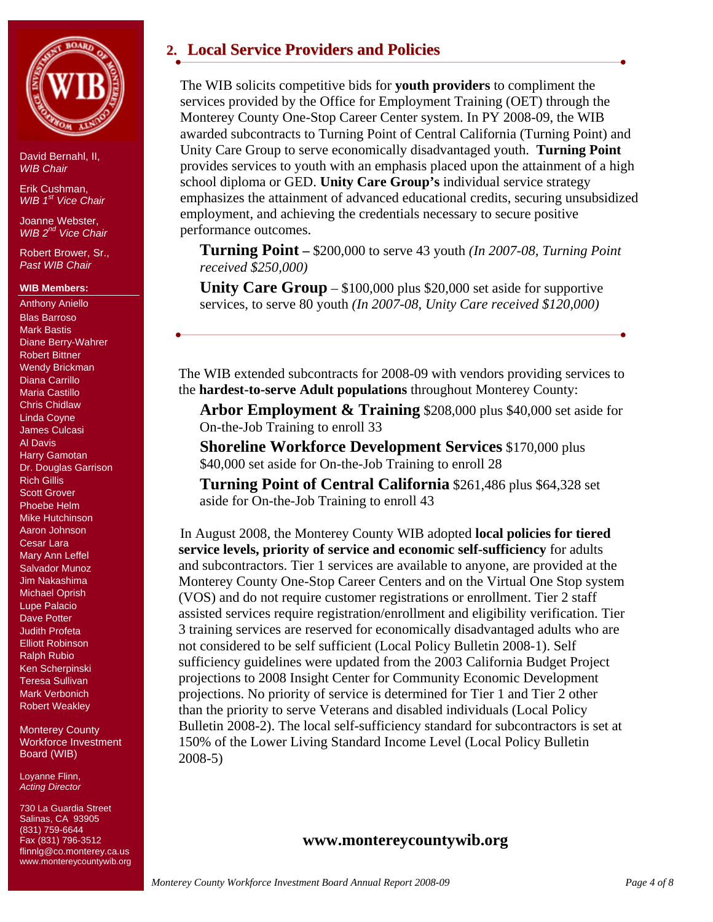

Erik Cushman, *WIB 1st Vice Chair*

Joanne Webster, *WIB 2nd Vice Chair* 

Robert Brower, Sr., *Past WIB Chair* 

## **WIB Members:**

Anthony Aniello Blas Barroso Mark Bastis Diane Berry-Wahrer Robert Bittner Wendy Brickman Diana Carrillo Maria Castillo Chris Chidlaw Linda Coyne James Culcasi Al Davis Harry Gamotan Dr. Douglas Garrison Rich Gillis Scott Grover Phoebe Helm Mike Hutchinson Aaron Johnson Cesar Lara Mary Ann Leffel Salvador Munoz Jim Nakashima Michael Oprish Lupe Palacio Dave Potter Judith Profeta Elliott Robinson Ralph Rubio Ken Scherpinski Teresa Sullivan Mark Verbonich Robert Weakley

Monterey County Workforce Investment Board (WIB)

Loyanne Flinn, *Acting Director* 

730 La Guardia Street Salinas, CA 93905 (831) 759-6644 Fax (831) 796-3512 flinnlg@co.monterey.ca.us www.montereycountywib.org

# **2. Local Service Providers and Policies**

The WIB solicits competitive bids for **youth providers** to compliment the services provided by the Office for Employment Training (OET) through the Monterey County One-Stop Career Center system. In PY 2008-09, the WIB awarded subcontracts to Turning Point of Central California (Turning Point) and Unity Care Group to serve economically disadvantaged youth. **Turning Point** provides services to youth with an emphasis placed upon the attainment of a high school diploma or GED. **Unity Care Group's** individual service strategy emphasizes the attainment of advanced educational credits, securing unsubsidized employment, and achieving the credentials necessary to secure positive performance outcomes.

**Turning Point –** \$200,000 to serve 43 youth *(In 2007-08, Turning Point received \$250,000)*

**Unity Care Group** – \$100,000 plus \$20,000 set aside for supportive services, to serve 80 youth *(In 2007-08, Unity Care received \$120,000)* 

The WIB extended subcontracts for 2008-09 with vendors providing services to the **hardest-to-serve Adult populations** throughout Monterey County:

**Arbor Employment & Training** \$208,000 plus \$40,000 set aside for On-the-Job Training to enroll 33

**Shoreline Workforce Development Services** \$170,000 plus \$40,000 set aside for On-the-Job Training to enroll 28

**Turning Point of Central California** \$261,486 plus \$64,328 set aside for On-the-Job Training to enroll 43

In August 2008, the Monterey County WIB adopted **local policies for tiered service levels, priority of service and economic self-sufficiency** for adults and subcontractors. Tier 1 services are available to anyone, are provided at the Monterey County One-Stop Career Centers and on the Virtual One Stop system (VOS) and do not require customer registrations or enrollment. Tier 2 staff assisted services require registration/enrollment and eligibility verification. Tier 3 training services are reserved for economically disadvantaged adults who are not considered to be self sufficient (Local Policy Bulletin 2008-1). Self sufficiency guidelines were updated from the 2003 California Budget Project projections to 2008 Insight Center for Community Economic Development projections. No priority of service is determined for Tier 1 and Tier 2 other than the priority to serve Veterans and disabled individuals (Local Policy Bulletin 2008-2). The local self-sufficiency standard for subcontractors is set at 150% of the Lower Living Standard Income Level (Local Policy Bulletin 2008-5)

## **www.montereycountywib.org**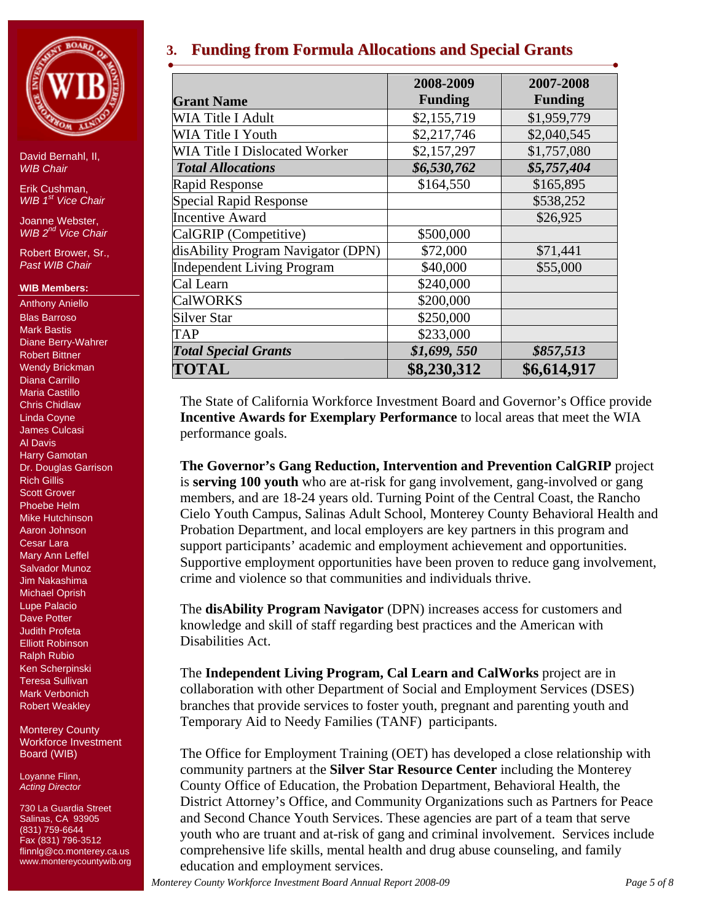

Erik Cushman, *WIB*  $1<sup>st</sup>$  *Vice Chair* 

Joanne Webster, *WIB 2nd Vice Chair* 

Robert Brower, Sr., *Past WIB Chair* 

## **WIB Members:**

Anthony Aniello Blas Barroso Mark Bastis Diane Berry-Wahrer Robert Bittner Wendy Brickman Diana Carrillo Maria Castillo Chris Chidlaw Linda Coyne James Culcasi Al Davis Harry Gamotan Dr. Douglas Garrison Rich Gillis Scott Grover Phoebe Helm Mike Hutchinson Aaron Johnson Cesar Lara Mary Ann Leffel Salvador Munoz Jim Nakashima Michael Oprish Lupe Palacio Dave Potter Judith Profeta Elliott Robinson Ralph Rubio Ken Scherpinski Teresa Sullivan Mark Verbonich Robert Weakley

Monterey County Workforce Investment Board (WIB)

Loyanne Flinn, *Acting Director* 

730 La Guardia Street Salinas, CA 93905 (831) 759-6644 Fax (831) 796-3512 flinnlg@co.monterey.ca.us www.montereycountywib.org

# **3. Funding from Formula Allocations and Special Grants**

|                                      | 2008-2009      | 2007-2008      |  |  |
|--------------------------------------|----------------|----------------|--|--|
| <b>Grant Name</b>                    | <b>Funding</b> | <b>Funding</b> |  |  |
| WIA Title I Adult                    | \$2,155,719    | \$1,959,779    |  |  |
| WIA Title I Youth                    | \$2,217,746    | \$2,040,545    |  |  |
| <b>WIA Title I Dislocated Worker</b> | \$2,157,297    | \$1,757,080    |  |  |
| <b>Total Allocations</b>             | \$6,530,762    | \$5,757,404    |  |  |
| <b>Rapid Response</b>                | \$164,550      | \$165,895      |  |  |
| <b>Special Rapid Response</b>        |                | \$538,252      |  |  |
| <b>Incentive Award</b>               |                | \$26,925       |  |  |
| CalGRIP (Competitive)                | \$500,000      |                |  |  |
| disAbility Program Navigator (DPN)   | \$72,000       | \$71,441       |  |  |
| <b>Independent Living Program</b>    | \$40,000       | \$55,000       |  |  |
| Cal Learn                            | \$240,000      |                |  |  |
| <b>CalWORKS</b>                      | \$200,000      |                |  |  |
| <b>Silver Star</b>                   | \$250,000      |                |  |  |
| <b>TAP</b>                           | \$233,000      |                |  |  |
| <b>Total Special Grants</b>          | \$1,699,550    | \$857,513      |  |  |
| TOTAL                                | \$8,230,312    | \$6,614,917    |  |  |

The State of California Workforce Investment Board and Governor's Office provide **Incentive Awards for Exemplary Performance** to local areas that meet the WIA performance goals.

**The Governor's Gang Reduction, Intervention and Prevention CalGRIP** project is **serving 100 youth** who are at-risk for gang involvement, gang-involved or gang members, and are 18-24 years old. Turning Point of the Central Coast, the Rancho Cielo Youth Campus, Salinas Adult School, Monterey County Behavioral Health and Probation Department, and local employers are key partners in this program and support participants' academic and employment achievement and opportunities. Supportive employment opportunities have been proven to reduce gang involvement, crime and violence so that communities and individuals thrive.

The **disAbility Program Navigator** (DPN) increases access for customers and knowledge and skill of staff regarding best practices and the American with Disabilities Act.

The **Independent Living Program, Cal Learn and CalWorks** project are in collaboration with other Department of Social and Employment Services (DSES) branches that provide services to foster youth, pregnant and parenting youth and Temporary Aid to Needy Families (TANF) participants.

The Office for Employment Training (OET) has developed a close relationship with community partners at the **Silver Star Resource Center** including the Monterey County Office of Education, the Probation Department, Behavioral Health, the District Attorney's Office, and Community Organizations such as Partners for Peace and Second Chance Youth Services. These agencies are part of a team that serve youth who are truant and at-risk of gang and criminal involvement. Services include comprehensive life skills, mental health and drug abuse counseling, and family education and employment services.

*Monterey County Workforce Investment Board Annual Report 2008-09* Page 5 of 8 *Page 5 of 8*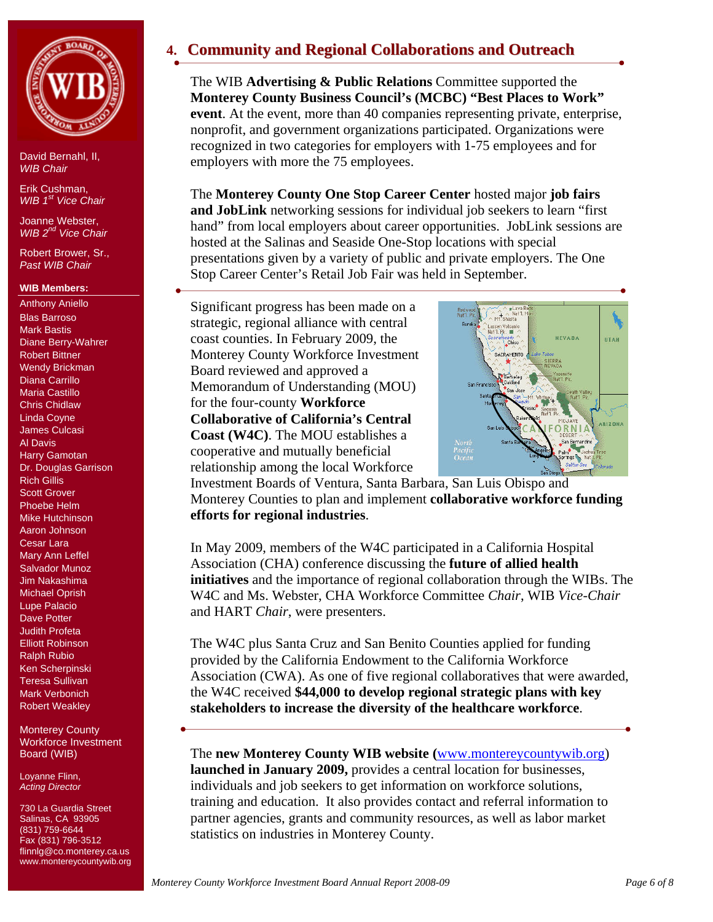

Erik Cushman, *WIB 1st Vice Chair*

Joanne Webster, *WIB 2nd Vice Chair* 

Robert Brower, Sr., *Past WIB Chair* 

## **WIB Members:**

Anthony Aniello Blas Barroso Mark Bastis Diane Berry-Wahrer Robert Bittner Wendy Brickman Diana Carrillo Maria Castillo Chris Chidlaw Linda Coyne James Culcasi Al Davis Harry Gamotan Dr. Douglas Garrison Rich Gillis Scott Grover Phoebe Helm Mike Hutchinson Aaron Johnson Cesar Lara Mary Ann Leffel Salvador Munoz Jim Nakashima Michael Oprish Lupe Palacio Dave Potter Judith Profeta Elliott Robinson Ralph Rubio Ken Scherpinski Teresa Sullivan Mark Verbonich Robert Weakley

Monterey County Workforce Investment Board (WIB)

Loyanne Flinn, *Acting Director* 

730 La Guardia Street Salinas, CA 93905 (831) 759-6644 Fax (831) 796-3512 flinnlg@co.monterey.ca.us www.montereycountywib.org

# **4. Community and Regional Collaborations and Outreach**

The WIB **Advertising & Public Relations** Committee supported the **Monterey County Business Council's (MCBC) "Best Places to Work" event**. At the event, more than 40 companies representing private, enterprise, nonprofit, and government organizations participated. Organizations were recognized in two categories for employers with 1-75 employees and for employers with more the 75 employees.

The **Monterey County One Stop Career Center** hosted major **job fairs and JobLink** networking sessions for individual job seekers to learn "first hand" from local employers about career opportunities. JobLink sessions are hosted at the Salinas and Seaside One-Stop locations with special presentations given by a variety of public and private employers. The One Stop Career Center's Retail Job Fair was held in September.

Significant progress has been made on a strategic, regional alliance with central coast counties. In February 2009, the Monterey County Workforce Investment Board reviewed and approved a Memorandum of Understanding (MOU) for the four-county **Workforce Collaborative of California's Central Coast (W4C)**. The MOU establishes a cooperative and mutually beneficial relationship among the local Workforce



Investment Boards of Ventura, Santa Barbara, San Luis Obispo and Monterey Counties to plan and implement **collaborative workforce funding efforts for regional industries**.

In May 2009, members of the W4C participated in a California Hospital Association (CHA) conference discussing the **future of allied health initiatives** and the importance of regional collaboration through the WIBs. The W4C and Ms. Webster, CHA Workforce Committee *Chair*, WIB *Vice-Chair* and HART *Chair*, were presenters.

The W4C plus Santa Cruz and San Benito Counties applied for funding provided by the California Endowment to the California Workforce Association (CWA). As one of five regional collaboratives that were awarded, the W4C received **\$44,000 to develop regional strategic plans with key stakeholders to increase the diversity of the healthcare workforce**.

The **new Monterey County WIB website (**www.montereycountywib.org) **launched in January 2009,** provides a central location for businesses, individuals and job seekers to get information on workforce solutions, training and education. It also provides contact and referral information to partner agencies, grants and community resources, as well as labor market statistics on industries in Monterey County.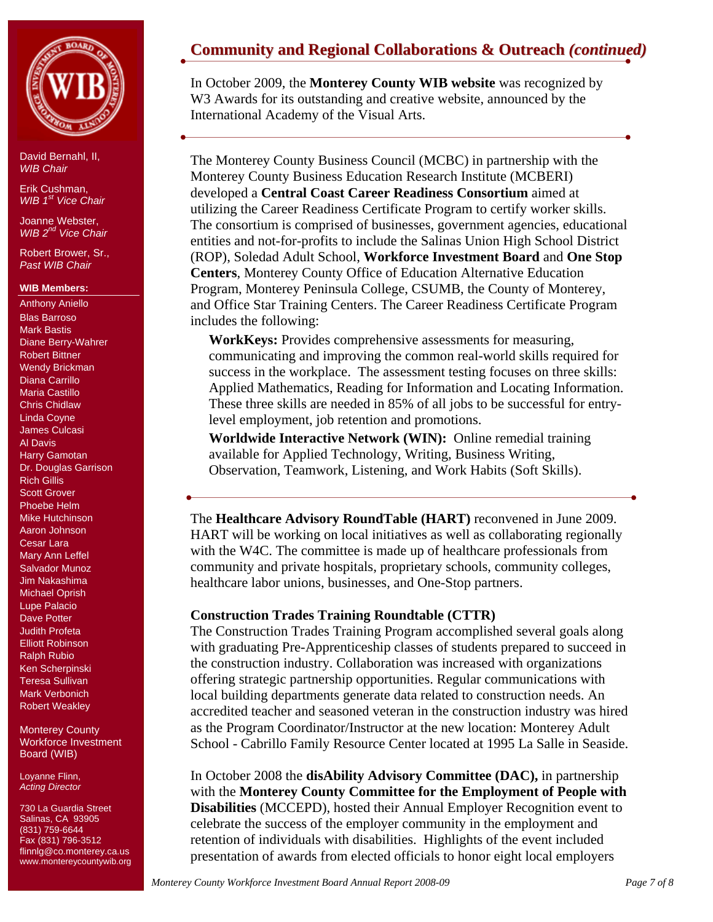

Erik Cushman, *WIB 1st Vice Chair*

Joanne Webster, *WIB 2nd Vice Chair* 

Robert Brower, Sr., *Past WIB Chair* 

## **WIB Members:**

Anthony Aniello Blas Barroso Mark Bastis Diane Berry-Wahrer Robert Bittner Wendy Brickman Diana Carrillo Maria Castillo Chris Chidlaw Linda Coyne James Culcasi Al Davis Harry Gamotan Dr. Douglas Garrison Rich Gillis Scott Grover Phoebe Helm Mike Hutchinson Aaron Johnson Cesar Lara Mary Ann Leffel Salvador Munoz Jim Nakashima Michael Oprish Lupe Palacio Dave Potter Judith Profeta Elliott Robinson Ralph Rubio Ken Scherpinski Teresa Sullivan Mark Verbonich Robert Weakley

Monterey County Workforce Investment Board (WIB)

Loyanne Flinn, *Acting Director* 

730 La Guardia Street Salinas, CA 93905 (831) 759-6644 Fax (831) 796-3512 flinnlg@co.monterey.ca.us www.montereycountywib.org

# **Community and Regional Collaborations & Outreach** *(continued)*

In October 2009, the **Monterey County WIB website** was recognized by W3 Awards for its outstanding and creative website, announced by the International Academy of the Visual Arts.

The Monterey County Business Council (MCBC) in partnership with the Monterey County Business Education Research Institute (MCBERI) developed a **Central Coast Career Readiness Consortium** aimed at utilizing the Career Readiness Certificate Program to certify worker skills. The consortium is comprised of businesses, government agencies, educational entities and not-for-profits to include the Salinas Union High School District (ROP), Soledad Adult School, **Workforce Investment Board** and **One Stop Centers**, Monterey County Office of Education Alternative Education Program, Monterey Peninsula College, CSUMB, the County of Monterey, and Office Star Training Centers. The Career Readiness Certificate Program includes the following:

**WorkKeys:** Provides comprehensive assessments for measuring, communicating and improving the common real-world skills required for success in the workplace. The assessment testing focuses on three skills: Applied Mathematics, Reading for Information and Locating Information. These three skills are needed in 85% of all jobs to be successful for entrylevel employment, job retention and promotions.

**Worldwide Interactive Network (WIN):** Online remedial training available for Applied Technology, Writing, Business Writing, Observation, Teamwork, Listening, and Work Habits (Soft Skills).

The **Healthcare Advisory RoundTable (HART)** reconvened in June 2009. HART will be working on local initiatives as well as collaborating regionally with the W4C. The committee is made up of healthcare professionals from community and private hospitals, proprietary schools, community colleges, healthcare labor unions, businesses, and One-Stop partners.

## **Construction Trades Training Roundtable (CTTR)**

The Construction Trades Training Program accomplished several goals along with graduating Pre-Apprenticeship classes of students prepared to succeed in the construction industry. Collaboration was increased with organizations offering strategic partnership opportunities. Regular communications with local building departments generate data related to construction needs. An accredited teacher and seasoned veteran in the construction industry was hired as the Program Coordinator/Instructor at the new location: Monterey Adult School - Cabrillo Family Resource Center located at 1995 La Salle in Seaside.

In October 2008 the **disAbility Advisory Committee (DAC),** in partnership with the **Monterey County Committee for the Employment of People with Disabilities** (MCCEPD), hosted their Annual Employer Recognition event to celebrate the success of the employer community in the employment and retention of individuals with disabilities. Highlights of the event included presentation of awards from elected officials to honor eight local employers